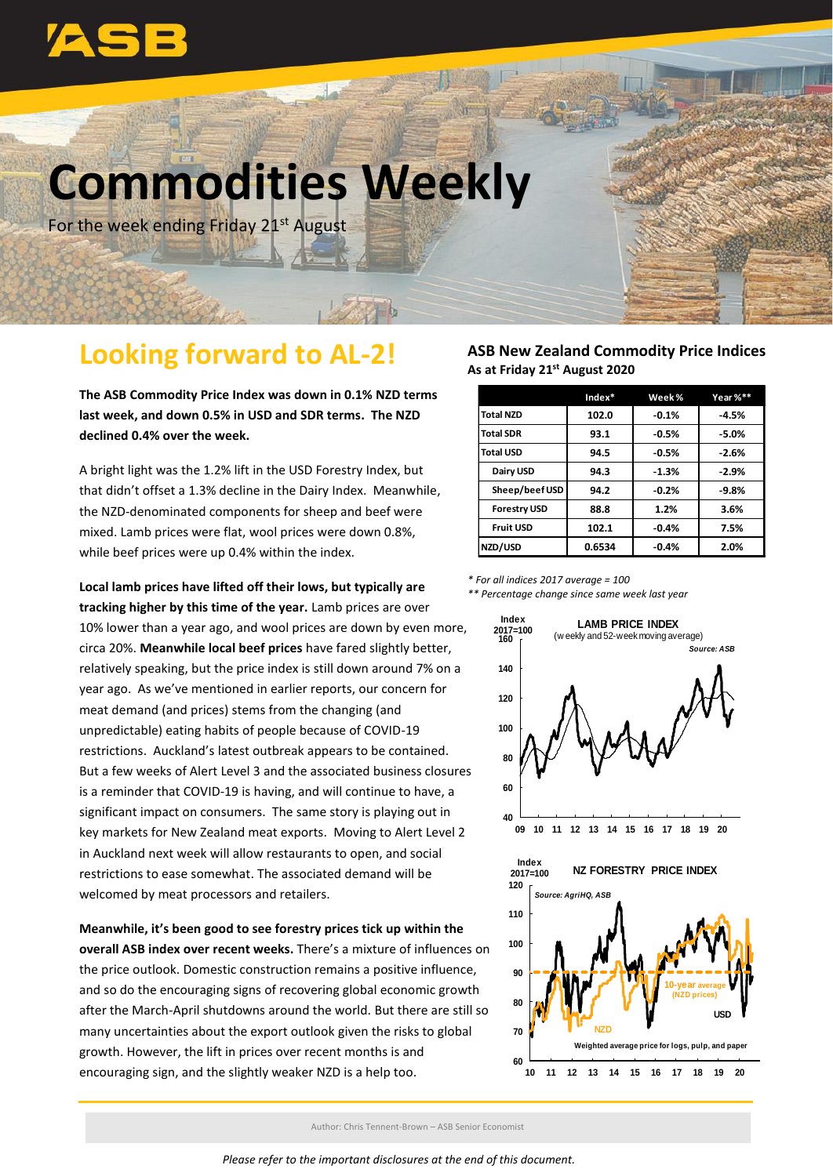

# **Commodities Weekly**

For the week ending Friday 21<sup>st</sup> August

### **Looking forward to AL-2!**

**The ASB Commodity Price Index was down in 0.1% NZD terms last week, and down 0.5% in USD and SDR terms. The NZD declined 0.4% over the week.**

A bright light was the 1.2% lift in the USD Forestry Index, but that didn't offset a 1.3% decline in the Dairy Index. Meanwhile, the NZD-denominated components for sheep and beef were mixed. Lamb prices were flat, wool prices were down 0.8%, while beef prices were up 0.4% within the index.

#### **Local lamb prices have lifted off their lows, but typically are**

**tracking higher by this time of the year.** Lamb prices are over 10% lower than a year ago, and wool prices are down by even more, circa 20%. **Meanwhile local beef prices** have fared slightly better, relatively speaking, but the price index is still down around 7% on a year ago. As we've mentioned in earlier reports, our concern for meat demand (and prices) stems from the changing (and unpredictable) eating habits of people because of COVID-19 restrictions. Auckland's latest outbreak appears to be contained. But a few weeks of Alert Level 3 and the associated business closures is a reminder that COVID-19 is having, and will continue to have, a significant impact on consumers. The same story is playing out in key markets for New Zealand meat exports. Moving to Alert Level 2 in Auckland next week will allow restaurants to open, and social restrictions to ease somewhat. The associated demand will be welcomed by meat processors and retailers.

#### **Meanwhile, it's been good to see forestry prices tick up within the overall ASB index over recent weeks.** There's a mixture of influences on the price outlook. Domestic construction remains a positive influence, and so do the encouraging signs of recovering global economic growth after the March-April shutdowns around the world. But there are still so many uncertainties about the export outlook given the risks to global growth. However, the lift in prices over recent months is and encouraging sign, and the slightly weaker NZD is a help too.

#### **ASB New Zealand Commodity Price Indices As at Friday 21st August 2020**

|                     | $Index*$ | Week %  | Year %** |
|---------------------|----------|---------|----------|
| <b>Total NZD</b>    | 102.0    | $-0.1%$ | $-4.5%$  |
| <b>Total SDR</b>    | 93.1     | $-0.5%$ | $-5.0%$  |
| <b>Total USD</b>    | 94.5     | $-0.5%$ | $-2.6%$  |
| Dairy USD           | 94.3     | $-1.3%$ | $-2.9%$  |
| Sheep/beef USD      | 94.2     | $-0.2%$ | $-9.8%$  |
| <b>Forestry USD</b> | 88.8     | 1.2%    | 3.6%     |
| <b>Fruit USD</b>    | 102.1    | $-0.4%$ | 7.5%     |
| NZD/USD             | 0.6534   | $-0.4%$ | 2.0%     |

#### *\* For all indices 2017 average = 100*

*\*\* Percentage change since same week last year*



Author: Chris Tennent-Brown – ASB Senior Economist